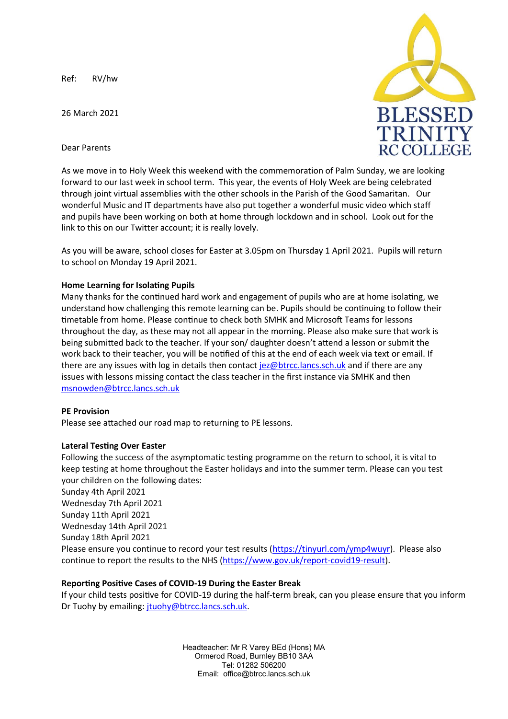Ref: RV/hw

26 March 2021





As we move in to Holy Week this weekend with the commemoration of Palm Sunday, we are looking forward to our last week in school term. This year, the events of Holy Week are being celebrated through joint virtual assemblies with the other schools in the Parish of the Good Samaritan. Our wonderful Music and IT departments have also put together a wonderful music video which staff and pupils have been working on both at home through lockdown and in school. Look out for the link to this on our Twitter account; it is really lovely.

As you will be aware, school closes for Easter at 3.05pm on Thursday 1 April 2021. Pupils will return to school on Monday 19 April 2021.

## **Home Learning for Isolating Pupils**

Many thanks for the continued hard work and engagement of pupils who are at home isolating, we understand how challenging this remote learning can be. Pupils should be continuing to follow their timetable from home. Please continue to check both SMHK and Microsoft Teams for lessons throughout the day, as these may not all appear in the morning. Please also make sure that work is being submitted back to the teacher. If your son/ daughter doesn't attend a lesson or submit the work back to their teacher, you will be notified of this at the end of each week via text or email. If there are any issues with log in details then contact [jez@btrcc.lancs.sch.uk](mailto:jez@btrcc.lancs.sch.uk) and if there are any issues with lessons missing contact the class teacher in the first instance via SMHK and then [msnowden@btrcc.lancs.sch.uk](mailto:msnowden@btrcc.lancs.sch.uk)

## **PE Provision**

Please see attached our road map to returning to PE lessons.

## **Lateral Testing Over Easter**

Following the success of the asymptomatic testing programme on the return to school, it is vital to keep testing at home throughout the Easter holidays and into the summer term. Please can you test your children on the following dates:

Sunday 4th April 2021 Wednesday 7th April 2021 Sunday 11th April 2021 Wednesday 14th April 2021 Sunday 18th April 2021 Please ensure you continue to record your test results [\(https://tinyurl.com/ymp4wuyr\)](https://tinyurl.com/ymp4wuyr). Please also continue to report the results to the NHS [\(https://www.gov.uk/report-covid19-result\)](https://www.gov.uk/report-covid19-result).

## **Reporting Positive Cases of COVID-19 During the Easter Break**

If your child tests positive for COVID-19 during the half-term break, can you please ensure that you inform Dr Tuohy by emailing: [jtuohy@btrcc.lancs.sch.uk.](mailto:jtuohy@btrcc.lancs.sch.uk)

> Headteacher: Mr R Varey BEd (Hons) MA Ormerod Road, Burnley BB10 3AA Tel: 01282 506200 Email: office@btrcc.lancs.sch.uk